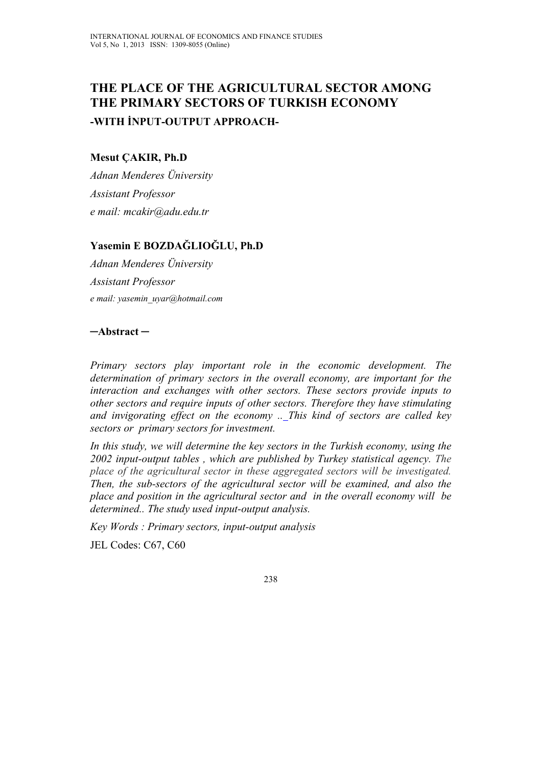# **THE PLACE OF THE AGRICULTURAL SECTOR AMONG THE PRIMARY SECTORS OF TURKISH ECONOMY -WITH İNPUT-OUTPUT APPROACH-**

#### **Mesut ÇAKIR, Ph.D**

*Adnan Menderes Üniversity Assistant Professor e mail: mcakir@adu.edu.tr* 

## **Yasemin E BOZDAĞLIOĞLU, Ph.D**

*Adnan Menderes Üniversity Assistant Professor e mail: yasemin\_uyar@hotmail.com* 

### **─Abstract ─**

*Primary sectors play important role in the economic development. The determination of primary sectors in the overall economy, are important for the interaction and exchanges with other sectors. These sectors provide inputs to other sectors and require inputs of other sectors. Therefore they have stimulating and invigorating effect on the economy .. This kind of sectors are called key sectors or primary sectors for investment.* 

*In this study, we will determine the key sectors in the Turkish economy, using the 2002 input-output tables , which are published by Turkey statistical agency. The place of the agricultural sector in these aggregated sectors will be investigated. Then, the sub-sectors of the agricultural sector will be examined, and also the place and position in the agricultural sector and in the overall economy will be determined.. The study used input-output analysis.* 

*Key Words : Primary sectors, input-output analysis*  JEL Codes: C67, C60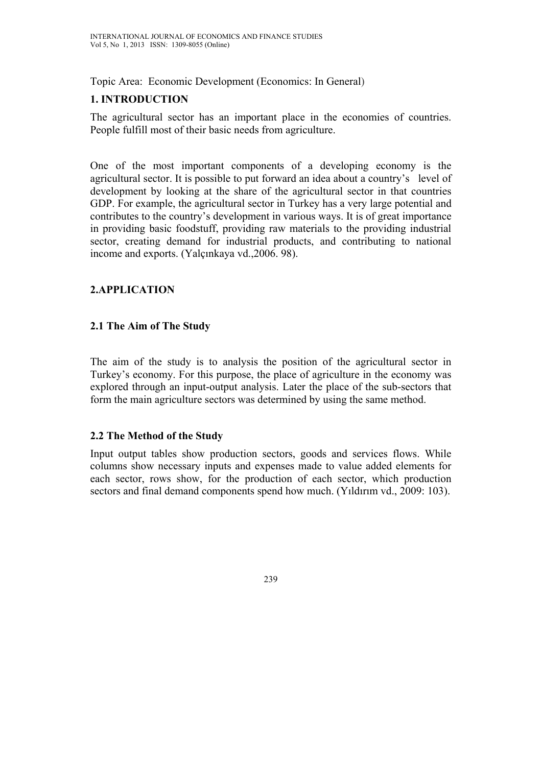Topic Area: Economic Development (Economics: In General)

## **1. INTRODUCTION**

The agricultural sector has an important place in the economies of countries. People fulfill most of their basic needs from agriculture.

One of the most important components of a developing economy is the agricultural sector. It is possible to put forward an idea about a country's level of development by looking at the share of the agricultural sector in that countries GDP. For example, the agricultural sector in Turkey has a very large potential and contributes to the country's development in various ways. It is of great importance in providing basic foodstuff, providing raw materials to the providing industrial sector, creating demand for industrial products, and contributing to national income and exports. (Yalçınkaya vd.,2006. 98).

### **2.APPLICATION**

### **2.1 The Aim of The Study**

The aim of the study is to analysis the position of the agricultural sector in Turkey's economy. For this purpose, the place of agriculture in the economy was explored through an input-output analysis. Later the place of the sub-sectors that form the main agriculture sectors was determined by using the same method.

### **2.2 The Method of the Study**

Input output tables show production sectors, goods and services flows. While columns show necessary inputs and expenses made to value added elements for each sector, rows show, for the production of each sector, which production sectors and final demand components spend how much. (Yıldırım vd., 2009: 103).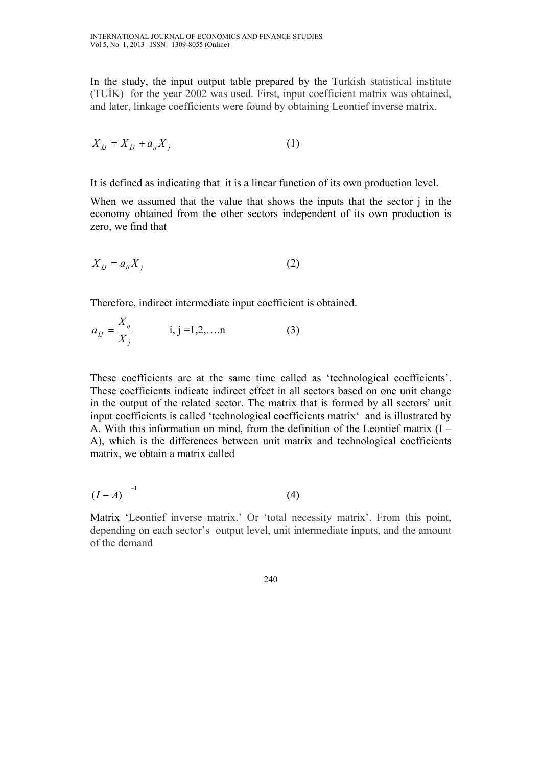In the study, the input output table prepared by the Turkish statistical institute (TUİK) for the year 2002 was used. First, input coefficient matrix was obtained, and later, linkage coefficients were found by obtaining Leontief inverse matrix.

$$
X_{ij} = X_{ij} + a_{ij}X_j \tag{1}
$$

It is defined as indicating that it is a linear function of its own production level.

When we assumed that the value that shows the inputs that the sector j in the economy obtained from the other sectors independent of its own production is zero, we find that

$$
X_{jj} = a_{ij} X_j \tag{2}
$$

Therefore, indirect intermediate input coefficient is obtained.

$$
a_{jj} = \frac{X_{ij}}{X_j} \qquad i, j = 1, 2, \dots n \tag{3}
$$

*X*

These coefficients are at the same time called as 'technological coefficients'. These coefficients indicate indirect effect in all sectors based on one unit change in the output of the related sector. The matrix that is formed by all sectors' unit input coefficients is called 'technological coefficients matrix' and is illustrated by A. With this information on mind, from the definition of the Leontief matrix (I – A), which is the differences between unit matrix and technological coefficients matrix, we obtain a matrix called

$$
(I-A)^{-1} \tag{4}
$$

Matrix 'Leontief inverse matrix.' Or 'total necessity matrix'. From this point, depending on each sector's output level, unit intermediate inputs, and the amount of the demand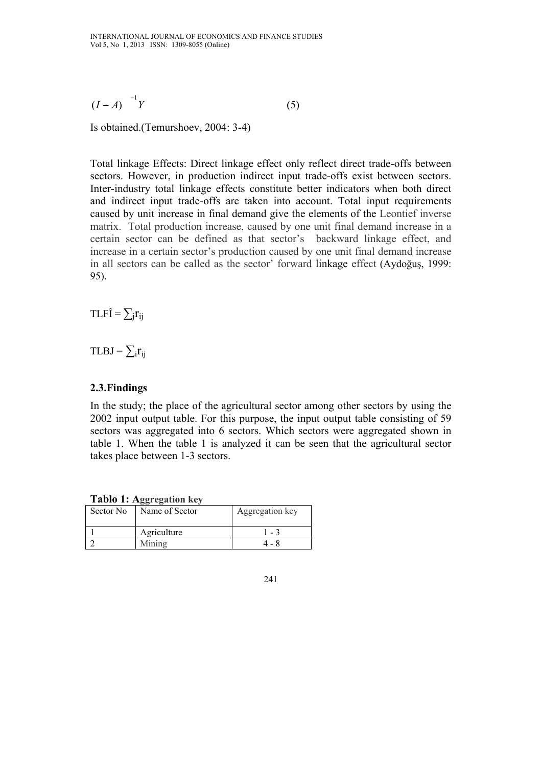$(I-A)^{-1}Y$  (5)

Is obtained.(Temurshoev, 2004: 3-4)

Total linkage Effects: Direct linkage effect only reflect direct trade-offs between sectors. However, in production indirect input trade-offs exist between sectors. Inter-industry total linkage effects constitute better indicators when both direct and indirect input trade-offs are taken into account. Total input requirements caused by unit increase in final demand give the elements of the Leontief inverse matrix. Total production increase, caused by one unit final demand increase in a certain sector can be defined as that sector's backward linkage effect, and increase in a certain sector's production caused by one unit final demand increase in all sectors can be called as the sector' forward linkage effect (Aydoğuş, 1999: 95).

 $TLF\hat{I} = \sum_i r_{ii}$ 

 $TLBJ = \sum_i r_{ii}$ 

### **2.3.Findings**

In the study; the place of the agricultural sector among other sectors by using the 2002 input output table. For this purpose, the input output table consisting of 59 sectors was aggregated into 6 sectors. Which sectors were aggregated shown in table 1. When the table 1 is analyzed it can be seen that the agricultural sector takes place between 1-3 sectors.

|  |  | Tablo 1: Aggregation key |  |
|--|--|--------------------------|--|
|--|--|--------------------------|--|

| Sector No | Name of Sector | Aggregation key |
|-----------|----------------|-----------------|
|           | Agriculture    | $-3$            |
|           | Mining         |                 |

<sup>241</sup>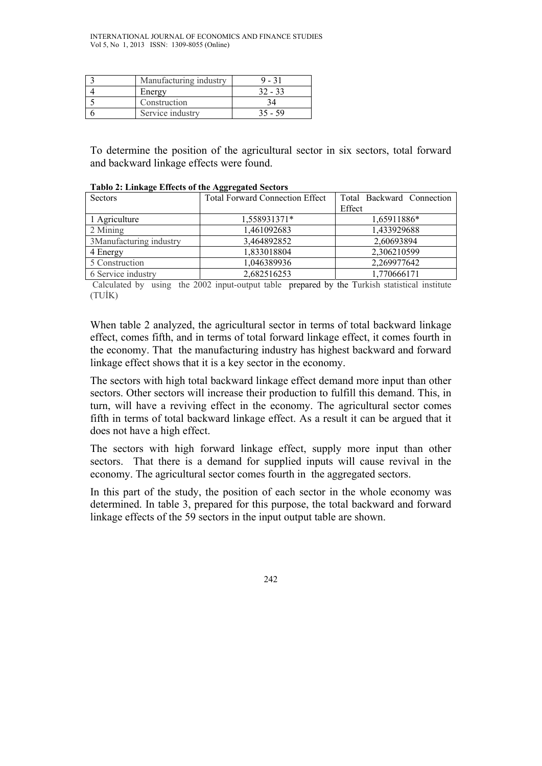| Manufacturing industry |           |
|------------------------|-----------|
| Energy                 | $32 - 33$ |
| Construction           |           |
| Service industry       | 35 - 59   |

To determine the position of the agricultural sector in six sectors, total forward and backward linkage effects were found.

| Sectors                 | <b>Total Forward Connection Effect</b> | Total Backward Connection |
|-------------------------|----------------------------------------|---------------------------|
|                         |                                        | Effect                    |
| 1 Agriculture           | 1,558931371*                           | 1,65911886*               |
| 2 Mining                | 1,461092683                            | 1,433929688               |
| 3Manufacturing industry | 3,464892852                            | 2,60693894                |
| 4 Energy                | 1,833018804                            | 2,306210599               |
| 5 Construction          | 1,046389936                            | 2,269977642               |
| 6 Service industry      | 2,682516253                            | 1,770666171               |

**Tablo 2: Linkage Effects of the Aggregated Sectors** 

 Calculated by using the 2002 input-output table prepared by the Turkish statistical institute (TUİK)

When table 2 analyzed, the agricultural sector in terms of total backward linkage effect, comes fifth, and in terms of total forward linkage effect, it comes fourth in the economy. That the manufacturing industry has highest backward and forward linkage effect shows that it is a key sector in the economy.

The sectors with high total backward linkage effect demand more input than other sectors. Other sectors will increase their production to fulfill this demand. This, in turn, will have a reviving effect in the economy. The agricultural sector comes fifth in terms of total backward linkage effect. As a result it can be argued that it does not have a high effect.

The sectors with high forward linkage effect, supply more input than other sectors. That there is a demand for supplied inputs will cause revival in the economy. The agricultural sector comes fourth in the aggregated sectors.

In this part of the study, the position of each sector in the whole economy was determined. In table 3, prepared for this purpose, the total backward and forward linkage effects of the 59 sectors in the input output table are shown.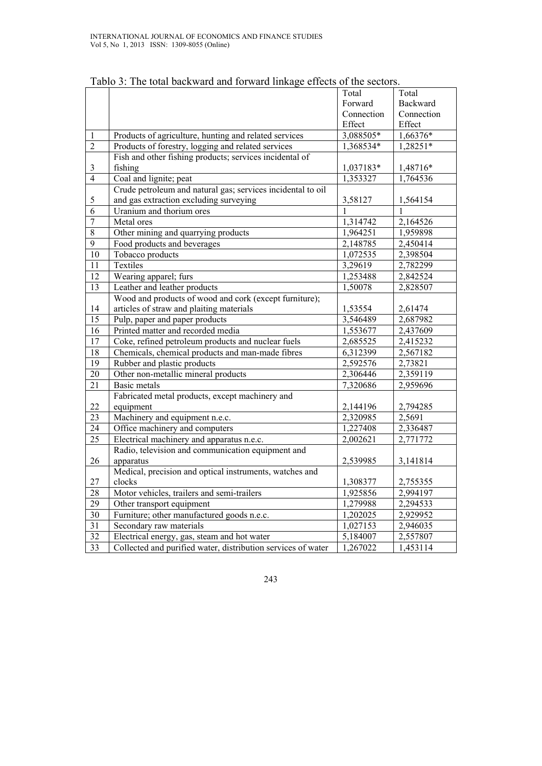|                 |                                                              | Total      | Total      |
|-----------------|--------------------------------------------------------------|------------|------------|
|                 |                                                              | Forward    | Backward   |
|                 |                                                              | Connection | Connection |
|                 |                                                              | Effect     | Effect     |
| $\mathbf{1}$    | Products of agriculture, hunting and related services        | 3,088505*  | 1,66376*   |
| $\overline{2}$  | Products of forestry, logging and related services           | 1,368534*  | 1,28251*   |
|                 | Fish and other fishing products; services incidental of      |            |            |
| $\mathfrak{Z}$  | fishing                                                      | 1,037183*  | 1,48716*   |
| $\overline{4}$  | Coal and lignite; peat                                       | 1,353327   | 1,764536   |
|                 | Crude petroleum and natural gas; services incidental to oil  |            |            |
| 5               | and gas extraction excluding surveying                       | 3,58127    | 1,564154   |
| 6               | Uranium and thorium ores                                     | 1          | 1          |
| $\overline{7}$  | Metal ores                                                   | 1,314742   | 2,164526   |
| $8\,$           | Other mining and quarrying products                          | 1,964251   | 1,959898   |
| 9               | Food products and beverages                                  | 2,148785   | 2,450414   |
| 10              | Tobacco products                                             | 1,072535   | 2,398504   |
| 11              | Textiles                                                     | 3,29619    | 2,782299   |
| 12              | Wearing apparel; furs                                        | 1,253488   | 2,842524   |
| 13              | Leather and leather products                                 | 1,50078    | 2,828507   |
|                 | Wood and products of wood and cork (except furniture);       |            |            |
| 14              | articles of straw and plaiting materials                     | 1,53554    | 2,61474    |
| $\overline{15}$ | Pulp, paper and paper products                               | 3,546489   | 2,687982   |
| 16              | Printed matter and recorded media                            | 1,553677   | 2,437609   |
| 17              | Coke, refined petroleum products and nuclear fuels           | 2,685525   | 2,415232   |
| $\overline{18}$ | Chemicals, chemical products and man-made fibres             | 6,312399   | 2,567182   |
| $\overline{19}$ | Rubber and plastic products                                  | 2,592576   | 2,73821    |
| $20\,$          | Other non-metallic mineral products                          | 2,306446   | 2,359119   |
| $\overline{21}$ | <b>Basic metals</b>                                          | 7,320686   | 2,959696   |
|                 | Fabricated metal products, except machinery and              |            |            |
| 22              | equipment                                                    | 2,144196   | 2,794285   |
| 23              | Machinery and equipment n.e.c.                               | 2,320985   | 2,5691     |
| 24              | Office machinery and computers                               | 1,227408   | 2,336487   |
| $\overline{25}$ | Electrical machinery and apparatus n.e.c.                    | 2,002621   | 2,771772   |
|                 | Radio, television and communication equipment and            |            |            |
| 26              | apparatus                                                    | 2,539985   | 3,141814   |
|                 | Medical, precision and optical instruments, watches and      |            |            |
| 27              | clocks                                                       | 1,308377   | 2,755355   |
| 28              | Motor vehicles, trailers and semi-trailers                   | 1,925856   | 2,994197   |
| 29              | Other transport equipment                                    | 1,279988   | 2,294533   |
| 30              | Furniture; other manufactured goods n.e.c.                   | 1,202025   | 2,929952   |
| $\overline{31}$ | Secondary raw materials                                      | 1,027153   | 2,946035   |
| 32              | Electrical energy, gas, steam and hot water                  | 5,184007   | 2,557807   |
| 33              | Collected and purified water, distribution services of water | 1,267022   | 1,453114   |

Tablo 3: The total backward and forward linkage effects of the sectors.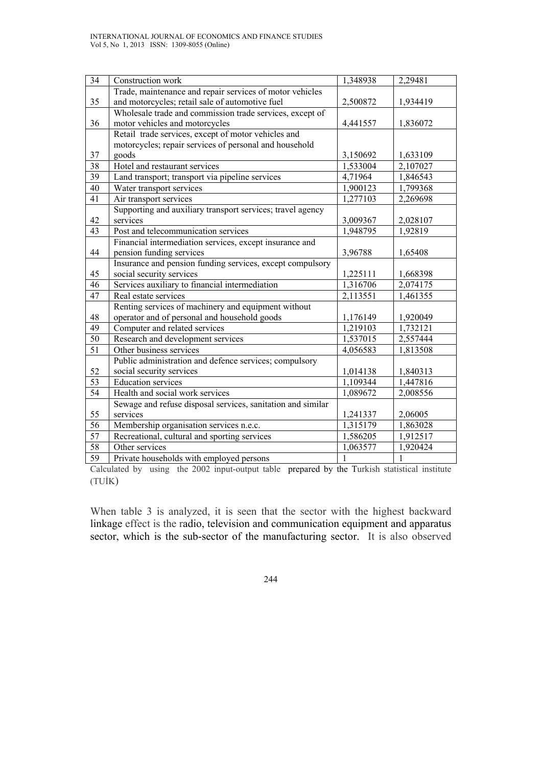| 34              | Construction work                                           | 1,348938              | 2,29481      |
|-----------------|-------------------------------------------------------------|-----------------------|--------------|
|                 | Trade, maintenance and repair services of motor vehicles    |                       |              |
| 35              | and motorcycles; retail sale of automotive fuel             | 2,500872              | 1,934419     |
|                 | Wholesale trade and commission trade services, except of    |                       |              |
| 36              | motor vehicles and motorcycles                              | 4,441557              | 1,836072     |
|                 | Retail trade services, except of motor vehicles and         |                       |              |
|                 | motorcycles; repair services of personal and household      |                       |              |
| 37              | goods                                                       | 3,150692              | 1,633109     |
| 38              | Hotel and restaurant services                               | 1,533004              | 2,107027     |
| 39              | Land transport; transport via pipeline services             | 4,71964               | 1,846543     |
| 40              | Water transport services                                    | 1,900123              | 1,799368     |
| 41              | Air transport services                                      | 1,277103              | 2,269698     |
|                 | Supporting and auxiliary transport services; travel agency  |                       |              |
| 42              | services                                                    | 3,009367              | 2,028107     |
| $\overline{43}$ | Post and telecommunication services                         | 1,948795              | 1,92819      |
|                 | Financial intermediation services, except insurance and     |                       |              |
| 44              | pension funding services                                    | 3,96788               | 1,65408      |
|                 | Insurance and pension funding services, except compulsory   |                       |              |
| 45              | social security services                                    | 1,225111              | 1,668398     |
| 46              | Services auxiliary to financial intermediation              | 1,316706              | 2,074175     |
| 47              | Real estate services                                        | $2,1135\overline{51}$ | 1,461355     |
|                 | Renting services of machinery and equipment without         |                       |              |
| 48              | operator and of personal and household goods                | 1,176149              | 1,920049     |
| 49              | Computer and related services                               | 1,219103              | 1,732121     |
| $\overline{50}$ | Research and development services                           | 1,537015              | 2,557444     |
| $\overline{51}$ | Other business services                                     | 4,056583              | 1,813508     |
|                 | Public administration and defence services; compulsory      |                       |              |
| 52              | social security services                                    | 1,014138              | 1,840313     |
| 53              | <b>Education services</b>                                   | 1,109344              | 1,447816     |
| 54              | Health and social work services                             | 1,089672              | 2,008556     |
|                 | Sewage and refuse disposal services, sanitation and similar |                       |              |
| 55              | services                                                    | 1,241337              | 2,06005      |
| 56              | Membership organisation services n.e.c.                     | 1,315179              | 1,863028     |
| 57              | Recreational, cultural and sporting services                | 1,586205              | 1,912517     |
| 58              | Other services                                              | 1,063577              | 1,920424     |
| 59              | Private households with employed persons                    | 1                     | $\mathbf{1}$ |

Calculated by using the 2002 input-output table prepared by the Turkish statistical institute (TUİK)

When table 3 is analyzed, it is seen that the sector with the highest backward linkage effect is the radio, television and communication equipment and apparatus sector, which is the sub-sector of the manufacturing sector. It is also observed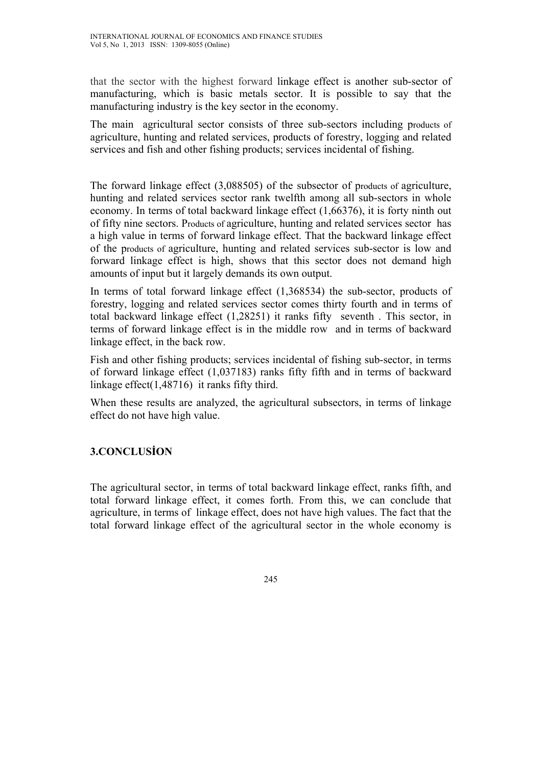that the sector with the highest forward linkage effect is another sub-sector of manufacturing, which is basic metals sector. It is possible to say that the manufacturing industry is the key sector in the economy.

The main agricultural sector consists of three sub-sectors including products of agriculture, hunting and related services, products of forestry, logging and related services and fish and other fishing products; services incidental of fishing.

The forward linkage effect (3,088505) of the subsector of products of agriculture, hunting and related services sector rank twelfth among all sub-sectors in whole economy. In terms of total backward linkage effect (1,66376), it is forty ninth out of fifty nine sectors. Products of agriculture, hunting and related services sector has a high value in terms of forward linkage effect. That the backward linkage effect of the products of agriculture, hunting and related services sub-sector is low and forward linkage effect is high, shows that this sector does not demand high amounts of input but it largely demands its own output.

In terms of total forward linkage effect (1,368534) the sub-sector, products of forestry, logging and related services sector comes thirty fourth and in terms of total backward linkage effect (1,28251) it ranks fifty seventh . This sector, in terms of forward linkage effect is in the middle row and in terms of backward linkage effect, in the back row.

Fish and other fishing products; services incidental of fishing sub-sector, in terms of forward linkage effect (1,037183) ranks fifty fifth and in terms of backward linkage effect(1,48716) it ranks fifty third.

When these results are analyzed, the agricultural subsectors, in terms of linkage effect do not have high value.

### **3.CONCLUSİON**

The agricultural sector, in terms of total backward linkage effect, ranks fifth, and total forward linkage effect, it comes forth. From this, we can conclude that agriculture, in terms of linkage effect, does not have high values. The fact that the total forward linkage effect of the agricultural sector in the whole economy is